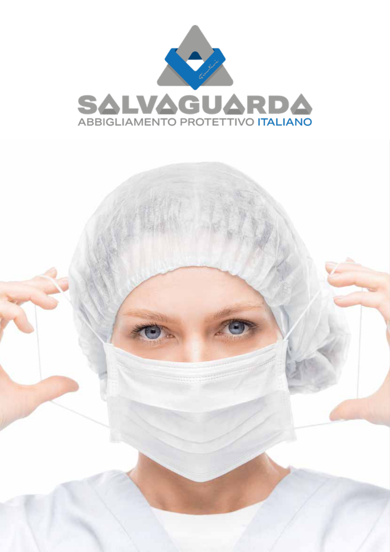

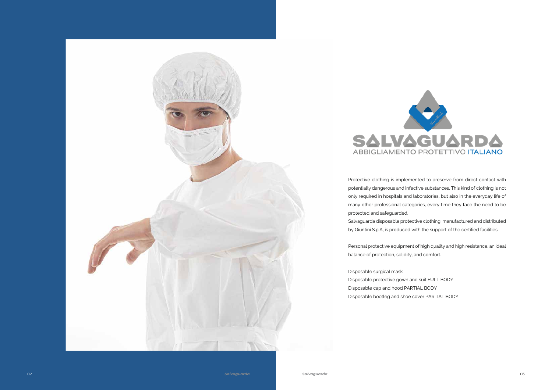



Protective clothing is implemented to preserve from direct contact with potentially dangerous and infective substances. This kind of clothing is not only required in hospitals and laboratories, but also in the everyday life of many other professional categories, every time they face the need to be protected and safeguarded. Salvaguarda disposable protective clothing, manufactured and distributed by Giuntini S.p.A, is produced with the support of the certified facilities.

Personal protective equipment of high quality and high resistance, an ideal balance of protection, solidity, and comfort.

Disposable surgical mask Disposable protective gown and suit FULL BODY Disposable cap and hood PARTIAL BODY Disposable bootleg and shoe cover PARTIAL BODY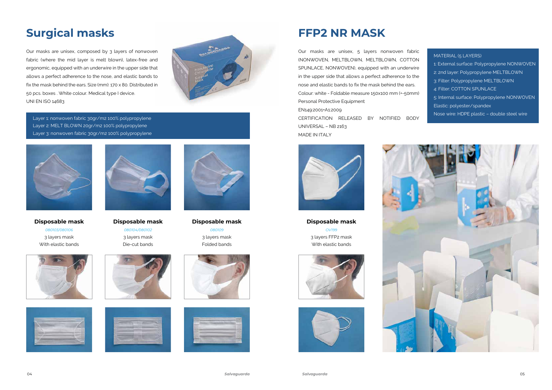### **Surgical masks**

Layer 1: nonwoven fabric 30gr/m2 100% polypropylene Layer 2: MELT BLOWN 20gr/m2 100% polypropylene Layer 3: nonwoven fabric 30gr/m2 100% polypropylene



Our masks are unisex, composed by 3 layers of nonwoven fabric (where the mid layer is melt blown), latex-free and ergonomic, equipped with an underwire in the upper side that allows a perfect adherence to the nose, and elastic bands to fix the mask behind the ears. Size (mm): 170 x 80. Distributed in 50 pcs. boxes . White colour. Medical type I device. UNI EN ISO 14683



**Disposable mask** *080103/080106* 3 layers mask With elastic bands







**Disposable mask** *080104/080102* 3 layers mask Die-cut bands







**Disposable mask** *080109* 3 layers mask Folded bands





**Disposable mask** *OV199* 3 layers FFP2 mask With elastic bands







## **FFP2 NR MASK**

| MATERIAL (5 LAYERS)                         |
|---------------------------------------------|
| 1: External surface: Polypropylene NONWOVEN |
| 2: 2nd layer: Polypropylene MELTBLOWN       |
| 3: Filter: Polypropylene MELTBLOWN          |
| 4: Filter: COTTON SPUNLACE                  |
| 5: Internal surface: Polypropylene NONWOVEN |
| Elastic: polyester/spandex                  |
| Nose wire: HDPE plastic - double steel wire |
|                                             |

Our masks are unisex, 5 layers nonwoven fabric (NONWOVEN, MELTBLOWN, MELTBLOWN, COTTON SPUNLACE, NONWOVEN), equipped with an underwire in the upper side that allows a perfect adherence to the nose and elastic bands to fix the mask behind the ears. Colour: white - Foldable measure 150x100 mm (+-50mm) Personal Protective Equipment EN149:2001+A1:2009

CERTIFICATION RELEASED BY NOTIFIED BODY UNIVERSAL – NB 2163 MADE IN ITALY

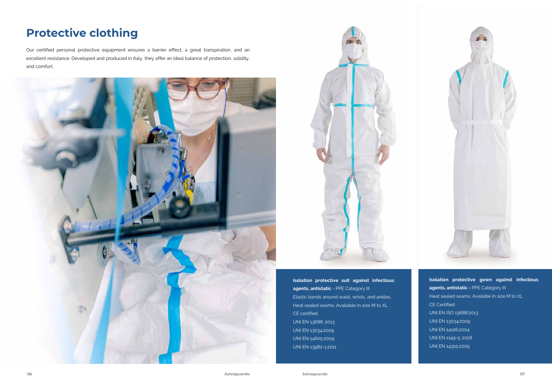**Isolation protective suit against infectious agents, antistatic** - PPE Category III Elastic bands around waist, wrists, and ankles. Heat sealed seams. Available in size M to XL CE certified UNI EN 13688 :2013 UNI EN 13034:2009 UNI EN 14605:2009 UNI EN 13982-1:2011

**Isolation protective gown against infectious agents, antistatic -** PPE Category III Heat sealed seams. Availabe in size M to XL CE Certified UNI EN ISO 13688:2013 UNI EN 13034:2009 UNI EN 14126:2004 UNI EN 1149-5: 2018 UNI EN 14325:2005

## **Protective clothing**

Our certified personal protective equipment ensures a barrier effect, a great transpiration, and an excellent resistance. Developed and produced in Italy, they offer an ideal balance of protection, solidity, and comfort.





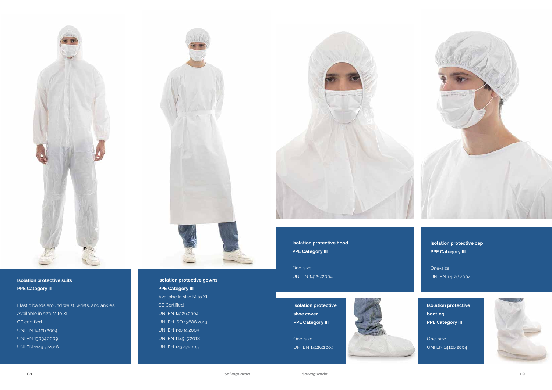

### **Isolation protective suits PPE Category III**

Elastic bands around waist, wrists, and ankles. Available in size M to XL CE certified UNI EN 14126:2004 UNI EN 13034:2009 UNI EN 1149-5:2018



**Isolation protective gowns PPE Category III** Availabe in size M to XL CE Certified UNI EN 14126.2004 UNI EN ISO 13688:2013 UNI EN 13034:2009 UNI EN 1149-5:2018 UNI EN 14325:2005



**Isolation protective cap PPE Category III** 

One-size UNI EN 14126:2004

**Isolation protective hood PPE Category III** 

One-size UNI EN 14126:2004

**Isolation protective shoe cover PPE Category III** 

One-size

UNI EN 14126:2004

**Isolation protective bootleg PPE Category III** 

One-size UNI EN 14126:2004

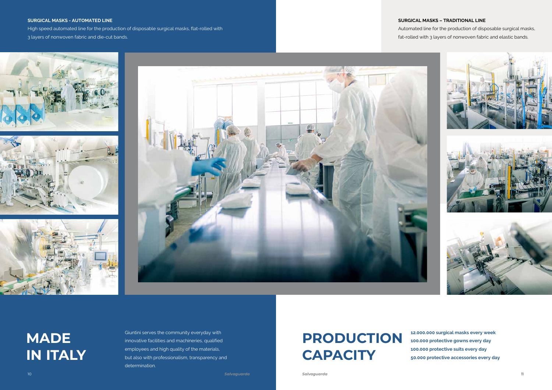**MADE IN ITALY**

**12.000.000 surgical masks every week 100.000 protective gowns every day 100.000 protective suits every day 50.000 protective accessories every day**

Giuntini serves the community everyday with innovative facilities and machineries, qualified employees and high quality of the materials, but also with professionalism, transparency and determination.

### **SURGICAL MASKS – TRADITIONAL LINE**

Automated line for the production of disposable surgical masks, fat-rolled with 3 layers of nonwoven fabric and elastic bands.

#### **SURGICAL MASKS - AUTOMATED LINE**

High speed automated line for the production of disposable surgical masks, flat-rolled with 3 layers of nonwoven fabric and die-cut bands.









# **PRODUCTION CAPACITY**

10 *Salvaguarda Salvaguarda* 11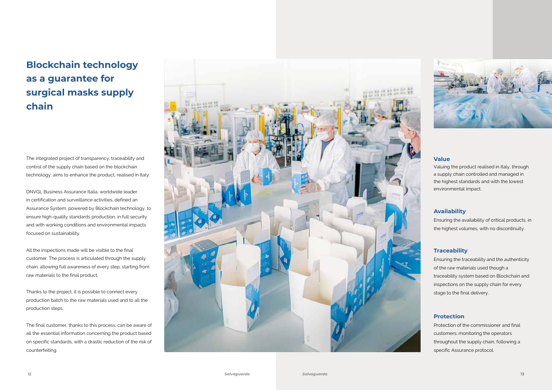The integrated project of transparency, traceability and control of the supply chain based on the blockchain technology, aims to enhance the product, realised in Italy.

DNVGL Business Assurance Italia, worldwide leader in certification and surveillance activities, defined an Assurance System, powered by Blockchain technology, to ensure high-quality standards production, in full security and with working conditions and environmental impacts focused on sustainability.

All the inspections made will be visible to the final customer. The process is articulated through the supply chain, allowing full awareness of every step, starting from raw materials to the final product.

Thanks to the project, it is possible to connect every production batch to the raw materials used and to all the production steps.

The final customer, thanks to this process, can be aware of all the essential information concerning the product based on specific standards, with a drastic reduction of the risk of counterfeiting.



### **Blockchain technology as a guarantee for surgical masks supply chain**

### **Availability**

Ensuring the availability of critical products, in the highest volumes, with no discontinuity.

### **Traceability**

Ensuring the traceability and the authenticity of the raw materials used though a traceability system based on Blockchain and inspections on the supply chain for every stage to the final delivery.

### **Protection**

Protection of the commissioner and final customers, monitoring the operators throughout the supply chain, following a specific Assurance protocol.

#### **Value**

Valuing the product realised in Italy, through a supply chain controlled and managed in the highest standards and with the lowest environmental impact.

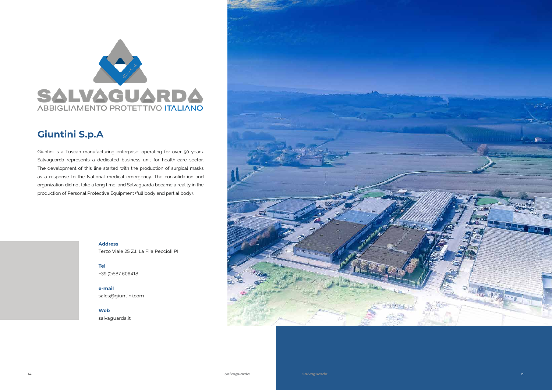

### **Giuntini S.p.A**



Terzo Viale 25 Z.I. La Fila Peccioli PI

**Tel** +39 (0)587 606418

**e-mail** sales@giuntini.com

**Web** salvaguarda.it



Giuntini is a Tuscan manufacturing enterprise, operating for over 50 years. Salvaguarda represents a dedicated business unit for health-care sector. The development of this line started with the production of surgical masks as a response to the National medical emergency. The consolidation and organization did not take a long time, and Salvaguarda became a reality in the production of Personal Protective Equipment (full body and partial body).